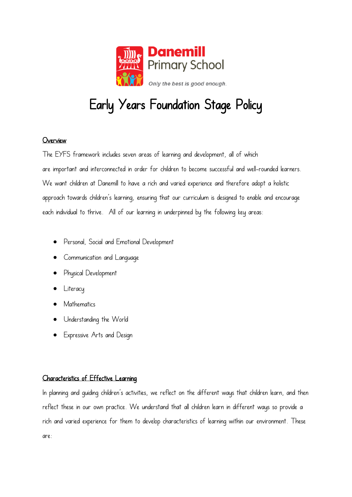

# Early Years Foundation Stage Policy

# Overview

The EYFS framework includes seven areas of learning and development, all of which are important and interconnected in order for children to become successful and well-rounded learners. We want children at Danemill to have a rich and varied experience and therefore adopt a holistic approach towards children's learning, ensuring that our curriculum is designed to enable and encourage each individual to thrive. All of our learning in underpinned by the following key areas:

- Personal, Social and Emotional Development
- Communication and Language
- Physical Development
- **Literacy**
- **Mathematics**
- Understanding the World
- Expressive Arts and Design

# Characteristics of Effective Learning

In planning and guiding children's activities, we reflect on the different ways that children learn, and then reflect these in our own practice. We understand that all children learn in different ways so provide a rich and varied experience for them to develop characteristics of learning within our environment. These are: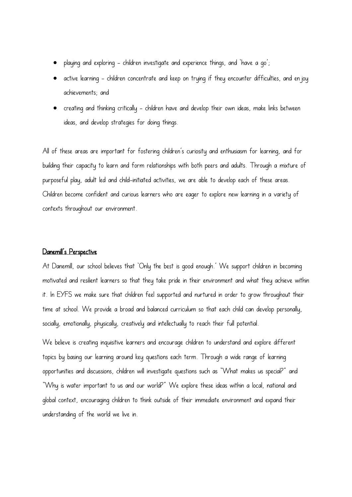- playing and exploring children investigate and experience things, and 'have a go';
- active learning children concentrate and keep on trying if they encounter difficulties, and enjoy achievements; and
- creating and thinking critically children have and develop their own ideas, make links between ideas, and develop strategies for doing things.

All of these areas are important for fostering children's curiosity and enthusiasm for learning, and for building their capacity to learn and form relationships with both peers and adults. Through a mixture of purposeful play, adult led and child-initiated activities, we are able to develop each of these areas. Children become confident and curious learners who are eager to explore new learning in a variety of contexts throughout our environment.

## Danemill's Perspective

At Danemill, our school believes that 'Only the best is good enough.' We support children in becoming motivated and resilient learners so that they take pride in their environment and what they achieve within it. In EYFS we make sure that children feel supported and nurtured in order to grow throughout their time at school. We provide a broad and balanced curriculum so that each child can develop personally, socially, emotionally, physically, creatively and intellectually to reach their full potential.

We believe is creating inquisitive learners and encourage children to understand and explore different topics by basing our learning around key questions each term. Through a wide range of learning opportunities and discussions, children will investigate questions such as "What makes us special?" and "Why is water important to us and our world?" We explore these ideas within a local, national and global context, encouraging children to think outside of their immediate environment and expand their understanding of the world we live in.